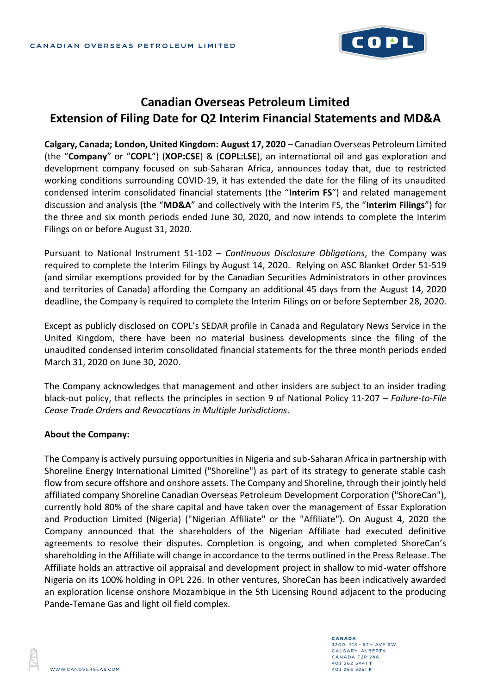

## **Canadian Overseas Petroleum Limited Extension of Filing Date for Q2 Interim Financial Statements and MD&A**

**Calgary, Canada; London, United Kingdom: August 17, 2020** – Canadian Overseas Petroleum Limited (the "**Company**" or "**COPL**") (**XOP:CSE**) & (**COPL:LSE**), an international oil and gas exploration and development company focused on sub-Saharan Africa, announces today that, due to restricted working conditions surrounding COVID-19, it has extended the date for the filing of its unaudited condensed interim consolidated financial statements (the "**Interim FS**") and related management discussion and analysis (the "**MD&A**" and collectively with the Interim FS, the "**Interim Filings**") for the three and six month periods ended June 30, 2020, and now intends to complete the Interim Filings on or before August 31, 2020.

Pursuant to National Instrument 51-102 – *Continuous Disclosure Obligations*, the Company was required to complete the Interim Filings by August 14, 2020. Relying on ASC Blanket Order 51-519 (and similar exemptions provided for by the Canadian Securities Administrators in other provinces and territories of Canada) affording the Company an additional 45 days from the August 14, 2020 deadline, the Company is required to complete the Interim Filings on or before September 28, 2020.

Except as publicly disclosed on COPL's SEDAR profile in Canada and Regulatory News Service in the United Kingdom, there have been no material business developments since the filing of the unaudited condensed interim consolidated financial statements for the three month periods ended March 31, 2020 on June 30, 2020.

The Company acknowledges that management and other insiders are subject to an insider trading black-out policy, that reflects the principles in section 9 of National Policy 11-207 – *Failure-to-File Cease Trade Orders and Revocations in Multiple Jurisdictions*.

## **About the Company:**

The Company is actively pursuing opportunities in Nigeria and sub-Saharan Africa in partnership with Shoreline Energy International Limited ("Shoreline") as part of its strategy to generate stable cash flow from secure offshore and onshore assets. The Company and Shoreline, through their jointly held affiliated company Shoreline Canadian Overseas Petroleum Development Corporation ("ShoreCan"), currently hold 80% of the share capital and have taken over the management of Essar Exploration and Production Limited (Nigeria) ("Nigerian Affiliate" or the "Affiliate"). On August 4, 2020 the Company announced that the shareholders of the Nigerian Affiliate had executed definitive agreements to resolve their disputes. Completion is ongoing, and when completed ShoreCan's shareholding in the Affiliate will change in accordance to the terms outlined in the Press Release. The Affiliate holds an attractive oil appraisal and development project in shallow to mid-water offshore Nigeria on its 100% holding in OPL 226. In other ventures, ShoreCan has been indicatively awarded an exploration license onshore Mozambique in the 5th Licensing Round adjacent to the producing Pande-Temane Gas and light oil field complex.

CANADA 3200, 715 - 5TH AVE SW CALGARY, ALBERTA CANADA T2P 2X6 403 262 5441 T 403 263 3251 F